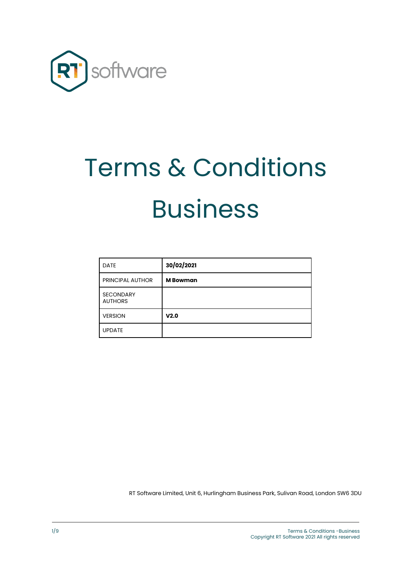

# Terms & Conditions Business

| <b>DATE</b>                        | 30/02/2021      |
|------------------------------------|-----------------|
| PRINCIPAL AUTHOR                   | <b>M</b> Bowman |
| <b>SECONDARY</b><br><b>AUTHORS</b> |                 |
| <b>VERSION</b>                     | V2.0            |
| <b>UPDATE</b>                      |                 |

RT Software Limited, Unit 6, Hurlingham Business Park, Sulivan Road, London SW6 3DU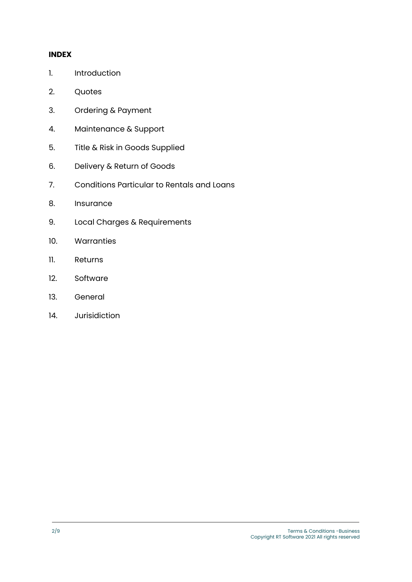#### **INDEX**

- 1. Introduction
- 2. Quotes
- 3. Ordering & Payment
- 4. Maintenance & Support
- 5. Title & Risk in Goods Supplied
- 6. Delivery & Return of Goods
- 7. Conditions Particular to Rentals and Loans
- 8. Insurance
- 9. Local Charges & Requirements
- 10. Warranties
- 11. Returns
- 12. Software
- 13. General
- 14. Jurisidiction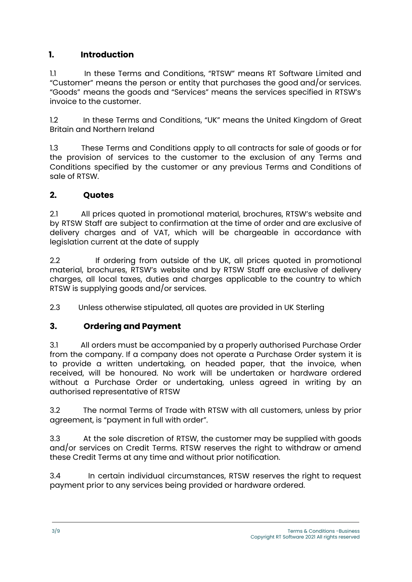# **1. Introduction**

1.1 In these Terms and Conditions, "RTSW" means RT Software Limited and "Customer" means the person or entity that purchases the good and/or services. "Goods" means the goods and "Services" means the services specified in RTSW's invoice to the customer.

1.2 In these Terms and Conditions, "UK" means the United Kingdom of Great Britain and Northern Ireland

1.3 These Terms and Conditions apply to all contracts for sale of goods or for the provision of services to the customer to the exclusion of any Terms and Conditions specified by the customer or any previous Terms and Conditions of sale of RTSW.

# **2. Quotes**

2.1 All prices quoted in promotional material, brochures, RTSW's website and by RTSW Staff are subject to confirmation at the time of order and are exclusive of delivery charges and of VAT, which will be chargeable in accordance with legislation current at the date of supply

2.2 If ordering from outside of the UK, all prices quoted in promotional material, brochures, RTSW's website and by RTSW Staff are exclusive of delivery charges, all local taxes, duties and charges applicable to the country to which RTSW is supplying goods and/or services.

2.3 Unless otherwise stipulated, all quotes are provided in UK Sterling

# **3. Ordering and Payment**

3.1 All orders must be accompanied by a properly authorised Purchase Order from the company. If a company does not operate a Purchase Order system it is to provide a written undertaking, on headed paper, that the invoice, when received, will be honoured. No work will be undertaken or hardware ordered without a Purchase Order or undertaking, unless agreed in writing by an authorised representative of RTSW

3.2 The normal Terms of Trade with RTSW with all customers, unless by prior agreement, is "payment in full with order".

3.3 At the sole discretion of RTSW, the customer may be supplied with goods and/or services on Credit Terms. RTSW reserves the right to withdraw or amend these Credit Terms at any time and without prior notification.

3.4 In certain individual circumstances, RTSW reserves the right to request payment prior to any services being provided or hardware ordered.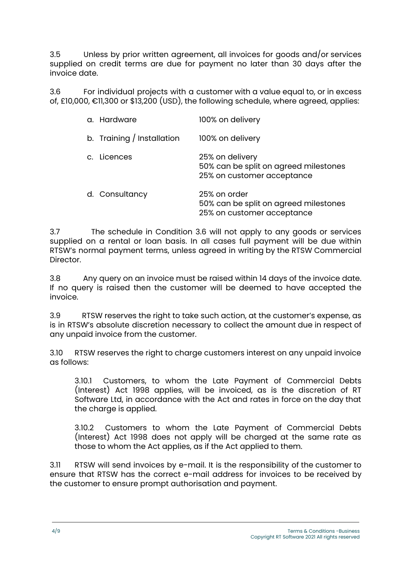3.5 Unless by prior written agreement, all invoices for goods and/or services supplied on credit terms are due for payment no later than 30 days after the invoice date.

3.6 For individual projects with a customer with a value equal to, or in excess of, £10,000, €11,300 or \$13,200 (USD), the following schedule, where agreed, applies:

| a. Hardware                | 100% on delivery                                                                       |
|----------------------------|----------------------------------------------------------------------------------------|
| b. Training / Installation | 100% on delivery                                                                       |
| c. Licences                | 25% on delivery<br>50% can be split on agreed milestones<br>25% on customer acceptance |
| d. Consultancy             | 25% on order<br>50% can be split on agreed milestones<br>25% on customer acceptance    |

3.7 The schedule in Condition 3.6 will not apply to any goods or services supplied on a rental or loan basis. In all cases full payment will be due within RTSW's normal payment terms, unless agreed in writing by the RTSW Commercial Director.

3.8 Any query on an invoice must be raised within 14 days of the invoice date. If no query is raised then the customer will be deemed to have accepted the invoice.

3.9 RTSW reserves the right to take such action, at the customer's expense, as is in RTSW's absolute discretion necessary to collect the amount due in respect of any unpaid invoice from the customer.

3.10 RTSW reserves the right to charge customers interest on any unpaid invoice as follows:

3.10.1 Customers, to whom the Late Payment of Commercial Debts (Interest) Act 1998 applies, will be invoiced, as is the discretion of RT Software Ltd, in accordance with the Act and rates in force on the day that the charge is applied.

3.10.2 Customers to whom the Late Payment of Commercial Debts (Interest) Act 1998 does not apply will be charged at the same rate as those to whom the Act applies, as if the Act applied to them.

3.11 RTSW will send invoices by e-mail. It is the responsibility of the customer to ensure that RTSW has the correct e-mail address for invoices to be received by the customer to ensure prompt authorisation and payment.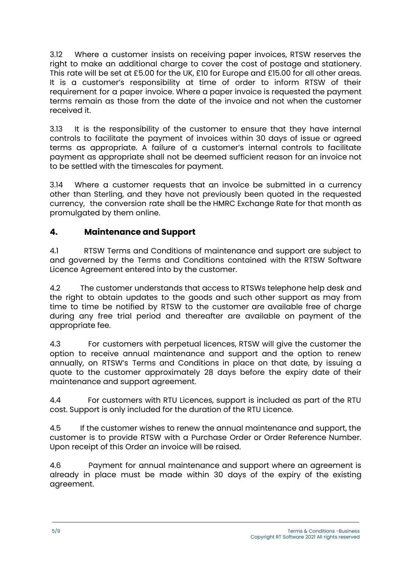3.12 Where a customer insists on receiving paper invoices, RTSW reserves the right to make an additional charge to cover the cost of postage and stationery. This rate will be set at £5.00 for the UK, £10 for Europe and £15.00 for all other areas. It is a customer's responsibility at time of order to inform RTSW of their requirement for a paper invoice. Where a paper invoice is requested the payment terms remain as those from the date of the invoice and not when the customer received it.

3.13 It is the responsibility of the customer to ensure that they have internal controls to facilitate the payment of invoices within 30 days of issue or agreed terms as appropriate. A failure of a customer's internal controls to facilitate payment as appropriate shall not be deemed sufficient reason for an invoice not to be settled with the timescales for payment.

3.14 Where a customer requests that an invoice be submitted in a currency other than Sterling, and they have not previously been quoted in the requested currency, the conversion rate shall be the HMRC Exchange Rate for that month as promulgated by them online.

# **4. Maintenance and Support**

4.1 RTSW Terms and Conditions of maintenance and support are subject to and governed by the Terms and Conditions contained with the RTSW Software Licence Agreement entered into by the customer.

4.2 The customer understands that access to RTSWs telephone help desk and the right to obtain updates to the goods and such other support as may from time to time be notified by RTSW to the customer are available free of charae during any free trial period and thereafter are available on payment of the appropriate fee.

4.3 For customers with perpetual licences, RTSW will give the customer the option to receive annual maintenance and support and the option to renew annually, on RTSW's Terms and Conditions in place on that date, by issuing a quote to the customer approximately 28 days before the expiry date of their maintenance and support agreement.

4.4 For customers with RTU Licences, support is included as part of the RTU cost. Support is only included for the duration of the RTU Licence.

4.5 If the customer wishes to renew the annual maintenance and support, the customer is to provide RTSW with a Purchase Order or Order Reference Number. Upon receipt of this Order an invoice will be raised.

4.6 Payment for annual maintenance and support where an agreement is already in place must be made within 30 days of the expiry of the existing agreement.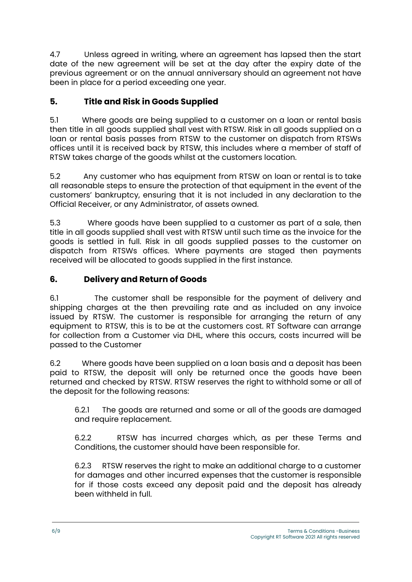4.7 Unless agreed in writing, where an agreement has lapsed then the start date of the new agreement will be set at the day after the expiry date of the previous agreement or on the annual anniversary should an agreement not have been in place for a period exceeding one year.

# **5. Title and Risk in Goods Supplied**

5.1 Where goods are being supplied to a customer on a loan or rental basis then title in all goods supplied shall vest with RTSW. Risk in all goods supplied on a loan or rental basis passes from RTSW to the customer on dispatch from RTSWs offices until it is received back by RTSW, this includes where a member of staff of RTSW takes charge of the goods whilst at the customers location.

5.2 Any customer who has equipment from RTSW on loan or rental is to take all reasonable steps to ensure the protection of that equipment in the event of the customers' bankruptcy, ensuring that it is not included in any declaration to the Official Receiver, or any Administrator, of assets owned.

5.3 Where goods have been supplied to a customer as part of a sale, then title in all goods supplied shall vest with RTSW until such time as the invoice for the goods is settled in full. Risk in all goods supplied passes to the customer on dispatch from RTSWs offices. Where payments are staged then payments received will be allocated to goods supplied in the first instance.

# **6. Delivery and Return of Goods**

6.1 The customer shall be responsible for the payment of delivery and shipping charges at the then prevailing rate and as included on any invoice issued by RTSW. The customer is responsible for arranging the return of any equipment to RTSW, this is to be at the customers cost. RT Software can arrange for collection from a Customer via DHL, where this occurs, costs incurred will be passed to the Customer

6.2 Where goods have been supplied on a loan basis and a deposit has been paid to RTSW, the deposit will only be returned once the goods have been returned and checked by RTSW. RTSW reserves the right to withhold some or all of the deposit for the following reasons:

6.2.1 The goods are returned and some or all of the goods are damaged and require replacement.

6.2.2 RTSW has incurred charges which, as per these Terms and Conditions, the customer should have been responsible for.

6.2.3 RTSW reserves the right to make an additional charge to a customer for damages and other incurred expenses that the customer is responsible for if those costs exceed any deposit paid and the deposit has already been withheld in full.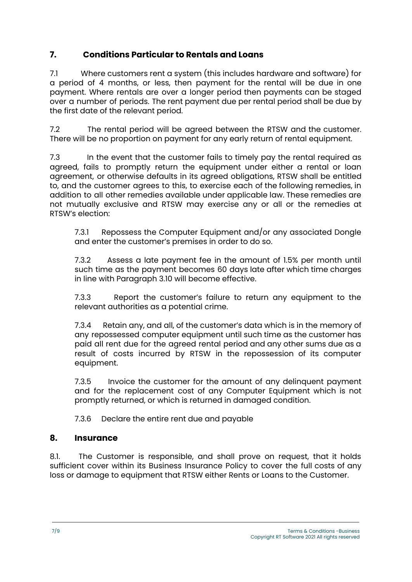# **7. Conditions Particular to Rentals and Loans**

7.1 Where customers rent a system (this includes hardware and software) for a period of 4 months, or less, then payment for the rental will be due in one payment. Where rentals are over a longer period then payments can be staged over a number of periods. The rent payment due per rental period shall be due by the first date of the relevant period.

7.2 The rental period will be agreed between the RTSW and the customer. There will be no proportion on payment for any early return of rental equipment.

7.3 In the event that the customer fails to timely pay the rental required as agreed, fails to promptly return the equipment under either a rental or loan agreement, or otherwise defaults in its agreed obligations, RTSW shall be entitled to, and the customer agrees to this, to exercise each of the following remedies, in addition to all other remedies available under applicable law. These remedies are not mutually exclusive and RTSW may exercise any or all or the remedies at RTSW's election:

7.3.1 Repossess the Computer Equipment and/or any associated Dongle and enter the customer's premises in order to do so.

7.3.2 Assess a late payment fee in the amount of 1.5% per month until such time as the payment becomes 60 days late after which time charges in line with Paragraph 3.10 will become effective.

7.3.3 Report the customer's failure to return any equipment to the relevant authorities as a potential crime.

7.3.4 Retain any, and all, of the customer's data which is in the memory of any repossessed computer equipment until such time as the customer has paid all rent due for the agreed rental period and any other sums due as a result of costs incurred by RTSW in the repossession of its computer equipment.

7.3.5 Invoice the customer for the amount of any delinquent payment and for the replacement cost of any Computer Equipment which is not promptly returned, or which is returned in damaged condition.

7.3.6 Declare the entire rent due and payable

# **8. Insurance**

8.1. The Customer is responsible, and shall prove on request, that it holds sufficient cover within its Business Insurance Policy to cover the full costs of any loss or damage to equipment that RTSW either Rents or Loans to the Customer.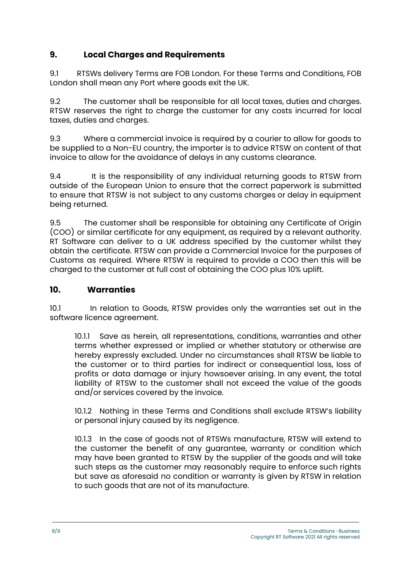# **9. Local Charges and Requirements**

9.1 RTSWs delivery Terms are FOB London. For these Terms and Conditions, FOB London shall mean any Port where goods exit the UK.

9.2 The customer shall be responsible for all local taxes, duties and charges. RTSW reserves the right to charge the customer for any costs incurred for local taxes, duties and charges.

9.3 Where a commercial invoice is required by a courier to allow for goods to be supplied to a Non-EU country, the importer is to advice RTSW on content of that invoice to allow for the avoidance of delays in any customs clearance.

9.4 It is the responsibility of any individual returning goods to RTSW from outside of the European Union to ensure that the correct paperwork is submitted to ensure that RTSW is not subject to any customs charges or delay in equipment being returned.

9.5 The customer shall be responsible for obtaining any Certificate of Origin (COO) or similar certificate for any equipment, as required by a relevant authority. RT Software can deliver to a UK address specified by the customer whilst they obtain the certificate. RTSW can provide a Commercial Invoice for the purposes of Customs as required. Where RTSW is required to provide a COO then this will be charged to the customer at full cost of obtaining the COO plus 10% uplift.

# **10. Warranties**

10.1 In relation to Goods, RTSW provides only the warranties set out in the software licence agreement.

10.1.1 Save as herein, all representations, conditions, warranties and other terms whether expressed or implied or whether statutory or otherwise are hereby expressly excluded. Under no circumstances shall RTSW be liable to the customer or to third parties for indirect or consequential loss, loss of profits or data damage or injury howsoever arising. In any event, the total liability of RTSW to the customer shall not exceed the value of the goods and/or services covered by the invoice.

10.1.2 Nothing in these Terms and Conditions shall exclude RTSW's liability or personal injury caused by its negligence.

10.1.3 In the case of goods not of RTSWs manufacture, RTSW will extend to the customer the benefit of any guarantee, warranty or condition which may have been granted to RTSW by the supplier of the goods and will take such steps as the customer may reasonably require to enforce such rights but save as aforesaid no condition or warranty is given by RTSW in relation to such goods that are not of its manufacture.